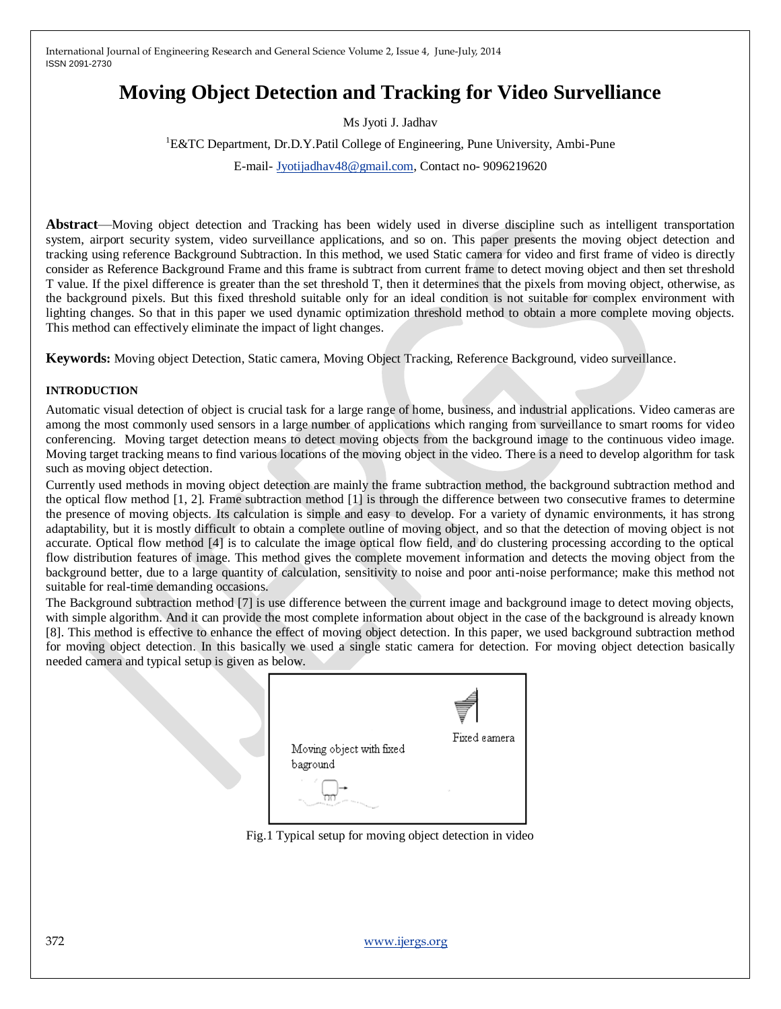# **Moving Object Detection and Tracking for Video Survelliance**

Ms Jyoti J. Jadhav

#### <sup>1</sup>E&TC Department, Dr.D.Y.Patil College of Engineering, Pune University, Ambi-Pune

E-mail- [Jyotijadhav48@gmail.com,](mailto:Jyotijadhav48@gmail.com) Contact no- 9096219620

**Abstract**—Moving object detection and Tracking has been widely used in diverse discipline such as intelligent transportation system, airport security system, video surveillance applications, and so on. This paper presents the moving object detection and tracking using reference Background Subtraction. In this method, we used Static camera for video and first frame of video is directly consider as Reference Background Frame and this frame is subtract from current frame to detect moving object and then set threshold T value. If the pixel difference is greater than the set threshold T, then it determines that the pixels from moving object, otherwise, as the background pixels. But this fixed threshold suitable only for an ideal condition is not suitable for complex environment with lighting changes. So that in this paper we used dynamic optimization threshold method to obtain a more complete moving objects. This method can effectively eliminate the impact of light changes.

**Keywords:** Moving object Detection, Static camera, Moving Object Tracking, Reference Background, video surveillance.

### **INTRODUCTION**

Automatic visual detection of object is crucial task for a large range of home, business, and industrial applications. Video cameras are among the most commonly used sensors in a large number of applications which ranging from surveillance to smart rooms for video conferencing. Moving target detection means to detect moving objects from the background image to the continuous video image. Moving target tracking means to find various locations of the moving object in the video. There is a need to develop algorithm for task such as moving object detection.

Currently used methods in moving object detection are mainly the frame subtraction method, the background subtraction method and the optical flow method [1, 2]. Frame subtraction method [1] is through the difference between two consecutive frames to determine the presence of moving objects. Its calculation is simple and easy to develop. For a variety of dynamic environments, it has strong adaptability, but it is mostly difficult to obtain a complete outline of moving object, and so that the detection of moving object is not accurate. Optical flow method [4] is to calculate the image optical flow field, and do clustering processing according to the optical flow distribution features of image. This method gives the complete movement information and detects the moving object from the background better, due to a large quantity of calculation, sensitivity to noise and poor anti-noise performance; make this method not suitable for real-time demanding occasions.

The Background subtraction method [7] is use difference between the current image and background image to detect moving objects, with simple algorithm. And it can provide the most complete information about object in the case of the background is already known [8]. This method is effective to enhance the effect of moving object detection. In this paper, we used background subtraction method for moving object detection. In this basically we used a single static camera for detection. For moving object detection basically needed camera and typical setup is given as below.

| Moving object with fixed<br>baground<br><b>The River of Changer</b> | Fixed camera |
|---------------------------------------------------------------------|--------------|
|---------------------------------------------------------------------|--------------|

Fig.1 Typical setup for moving object detection in video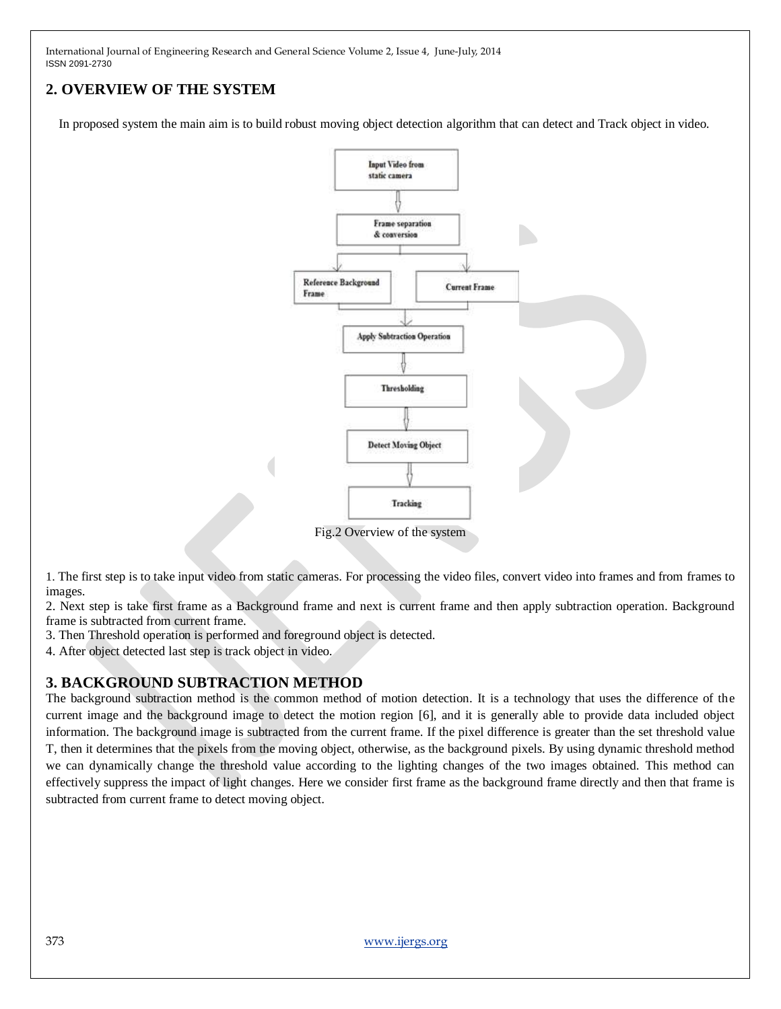## **2. OVERVIEW OF THE SYSTEM**

In proposed system the main aim is to build robust moving object detection algorithm that can detect and Track object in video.



Fig.2 Overview of the system

1. The first step is to take input video from static cameras. For processing the video files, convert video into frames and from frames to images.

2. Next step is take first frame as a Background frame and next is current frame and then apply subtraction operation. Background frame is subtracted from current frame.

3. Then Threshold operation is performed and foreground object is detected.

4. After object detected last step is track object in video.

### **3. BACKGROUND SUBTRACTION METHOD**

The background subtraction method is the common method of motion detection. It is a technology that uses the difference of the current image and the background image to detect the motion region [6], and it is generally able to provide data included object information. The background image is subtracted from the current frame. If the pixel difference is greater than the set threshold value T, then it determines that the pixels from the moving object, otherwise, as the background pixels. By using dynamic threshold method we can dynamically change the threshold value according to the lighting changes of the two images obtained. This method can effectively suppress the impact of light changes. Here we consider first frame as the background frame directly and then that frame is subtracted from current frame to detect moving object.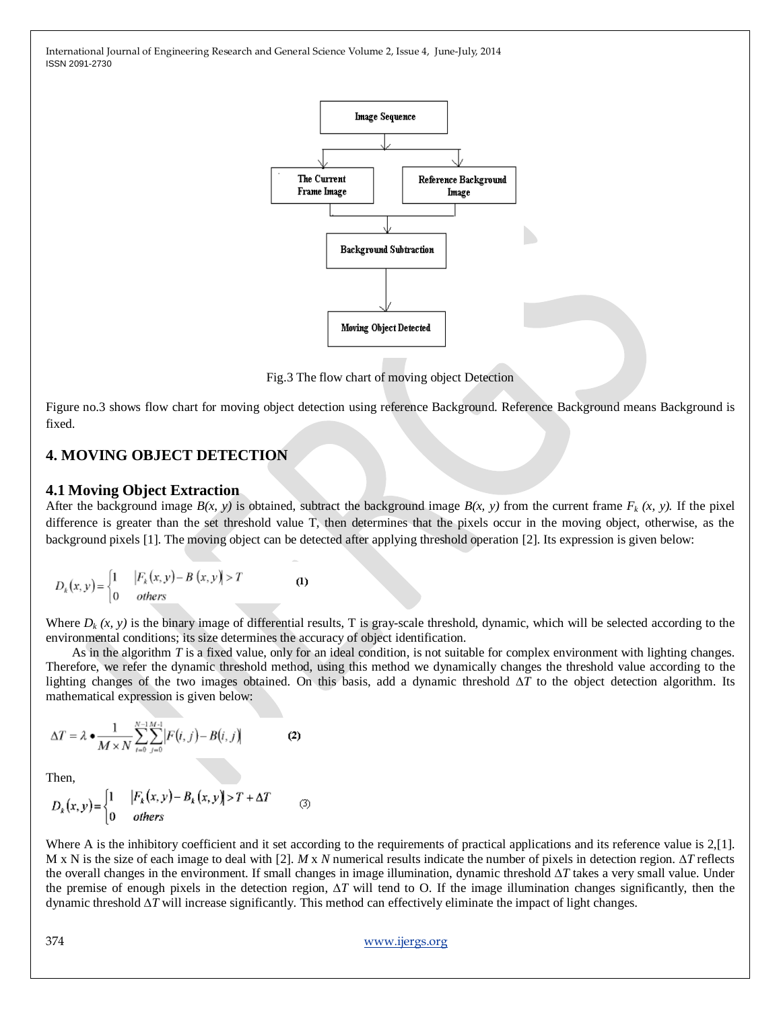

Fig.3 The flow chart of moving object Detection

Figure no.3 shows flow chart for moving object detection using reference Background. Reference Background means Background is fixed.

### **4. MOVING OBJECT DETECTION**

### **4.1 Moving Object Extraction**

After the background image  $B(x, y)$  is obtained, subtract the background image  $B(x, y)$  from the current frame  $F_k(x, y)$ . If the pixel difference is greater than the set threshold value T, then determines that the pixels occur in the moving object, otherwise, as the background pixels [1]. The moving object can be detected after applying threshold operation [2]. Its expression is given below:

$$
D_k(x, y) = \begin{cases} 1 & |F_k(x, y) - B(x, y)| > T \\ 0 & \text{others} \end{cases} \tag{1}
$$

Where  $D_k(x, y)$  is the binary image of differential results, T is gray-scale threshold, dynamic, which will be selected according to the environmental conditions; its size determines the accuracy of object identification.

 As in the algorithm *T* is a fixed value, only for an ideal condition, is not suitable for complex environment with lighting changes. Therefore, we refer the dynamic threshold method, using this method we dynamically changes the threshold value according to the lighting changes of the two images obtained. On this basis, add a dynamic threshold ∆*T* to the object detection algorithm. Its mathematical expression is given below:

$$
\Delta T = \lambda \bullet \frac{1}{M \times N} \sum_{i=0}^{N-1} \sum_{j=0}^{M-1} \left| F(i, j) - B(i, j) \right| \tag{2}
$$

Then,

$$
D_k(x, y) = \begin{cases} 1 & |F_k(x, y) - B_k(x, y)| > T + \Delta T \\ 0 & \text{others} \end{cases}
$$
 (3)

Where A is the inhibitory coefficient and it set according to the requirements of practical applications and its reference value is 2,[1]. M x N is the size of each image to deal with [2]. *M* x *N* numerical results indicate the number of pixels in detection region. ∆*T* reflects the overall changes in the environment. If small changes in image illumination, dynamic threshold ∆*T* takes a very small value. Under the premise of enough pixels in the detection region, ∆*T* will tend to O. If the image illumination changes significantly, then the dynamic threshold ∆*T* will increase significantly. This method can effectively eliminate the impact of light changes.

### 374 [www.ijergs.org](http://www.ijergs.org/)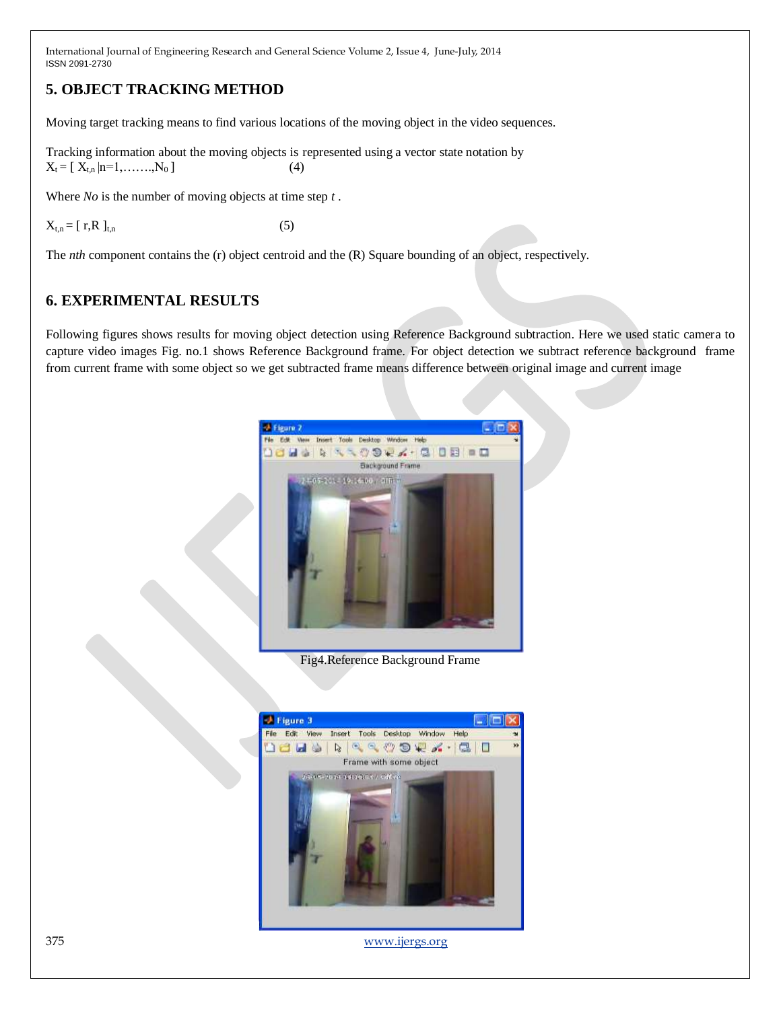## **5. OBJECT TRACKING METHOD**

Moving target tracking means to find various locations of the moving object in the video sequences.

Tracking information about the moving objects is represented using a vector state notation by  $X_t = [X_{t,n} | n=1, \ldots, N_0]$  (4)

Where *No* is the number of moving objects at time step *t* .

 $X_{t,n} = [r, R]_{t,n}$  (5)

The *nth* component contains the (r) object centroid and the (R) Square bounding of an object, respectively.

### **6. EXPERIMENTAL RESULTS**

Following figures shows results for moving object detection using Reference Background subtraction. Here we used static camera to capture video images Fig. no.1 shows Reference Background frame. For object detection we subtract reference background frame from current frame with some object so we get subtracted frame means difference between original image and current image



Fig4.Reference Background Frame



375 [www.ijergs.org](http://www.ijergs.org/)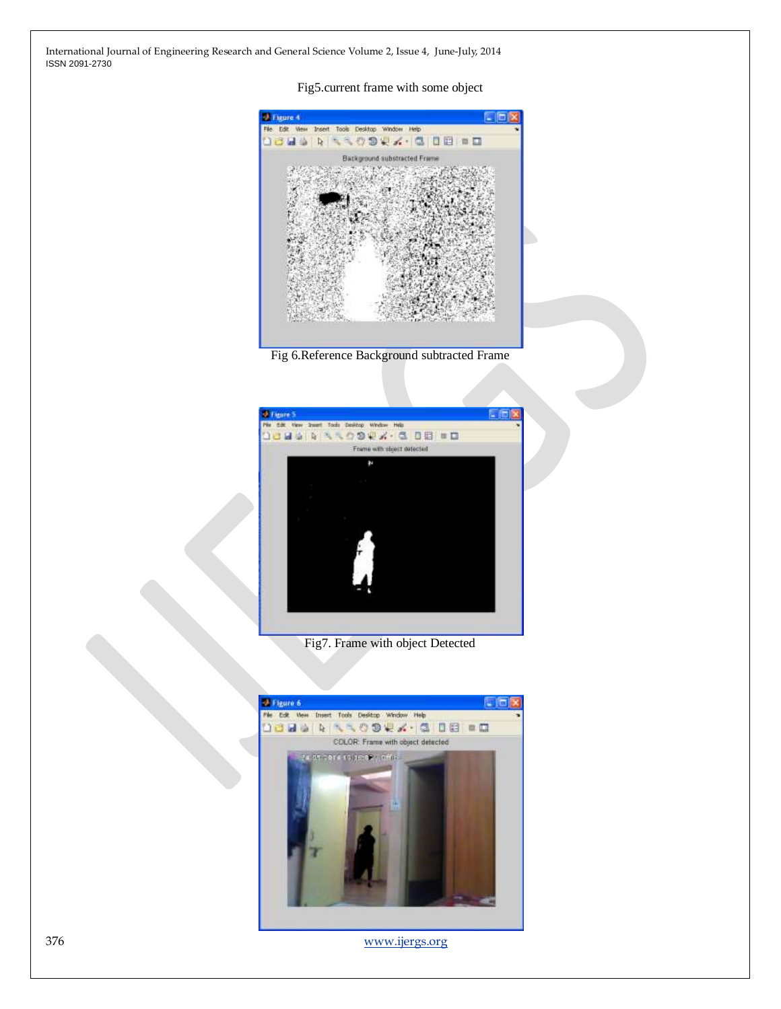### Fig5.current frame with some object







Fig7. Frame with object Detected



376 [www.ijergs.org](http://www.ijergs.org/)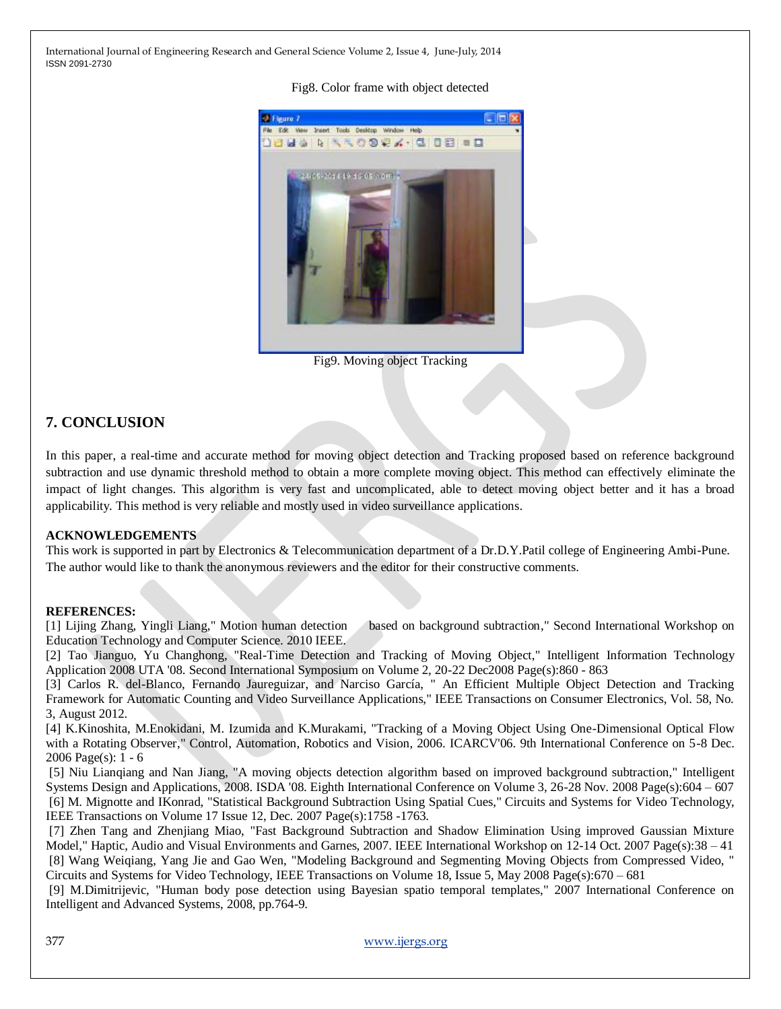### Fig8. Color frame with object detected



Fig9. Moving object Tracking

# **7. CONCLUSION**

In this paper, a real-time and accurate method for moving object detection and Tracking proposed based on reference background subtraction and use dynamic threshold method to obtain a more complete moving object. This method can effectively eliminate the impact of light changes. This algorithm is very fast and uncomplicated, able to detect moving object better and it has a broad applicability. This method is very reliable and mostly used in video surveillance applications.

### **ACKNOWLEDGEMENTS**

This work is supported in part by Electronics & Telecommunication department of a Dr.D.Y.Patil college of Engineering Ambi-Pune. The author would like to thank the anonymous reviewers and the editor for their constructive comments.

### **REFERENCES:**

[1] Lijing Zhang, Yingli Liang," Motion human detection based on background subtraction," Second International Workshop on Education Technology and Computer Science. 2010 IEEE.

[2] Tao Jianguo, Yu Changhong, "Real-Time Detection and Tracking of Moving Object," Intelligent Information Technology Application 2008 UTA '08. Second International Symposium on Volume 2, 20-22 Dec2008 Page(s):860 - 863

[3] Carlos R. del-Blanco, Fernando Jaureguizar, and Narciso García, " An Efficient Multiple Object Detection and Tracking Framework for Automatic Counting and Video Surveillance Applications," IEEE Transactions on Consumer Electronics, Vol. 58, No. 3, August 2012.

[4] K.Kinoshita, M.Enokidani, M. Izumida and K.Murakami, "Tracking of a Moving Object Using One-Dimensional Optical Flow with a Rotating Observer," Control, Automation, Robotics and Vision, 2006. ICARCV'06. 9th International Conference on 5-8 Dec. 2006 Page(s): 1 - 6

[5] Niu Lianqiang and Nan Jiang, "A moving objects detection algorithm based on improved background subtraction," Intelligent Systems Design and Applications, 2008. ISDA '08. Eighth International Conference on Volume 3, 26-28 Nov. 2008 Page(s):604 – 607 [6] M. Mignotte and IKonrad, "Statistical Background Subtraction Using Spatial Cues," Circuits and Systems for Video Technology, IEEE Transactions on Volume 17 Issue 12, Dec. 2007 Page(s):1758 -1763.

[7] Zhen Tang and Zhenjiang Miao, "Fast Background Subtraction and Shadow Elimination Using improved Gaussian Mixture Model," Haptic, Audio and Visual Environments and Garnes, 2007. IEEE International Workshop on 12-14 Oct. 2007 Page(s):38 – 41 [8] Wang Weiqiang, Yang Jie and Gao Wen, "Modeling Background and Segmenting Moving Objects from Compressed Video, " Circuits and Systems for Video Technology, IEEE Transactions on Volume 18, Issue 5, May 2008 Page(s):670 – 681

[9] M.Dimitrijevic, "Human body pose detection using Bayesian spatio temporal templates," 2007 International Conference on Intelligent and Advanced Systems, 2008, pp.764-9.